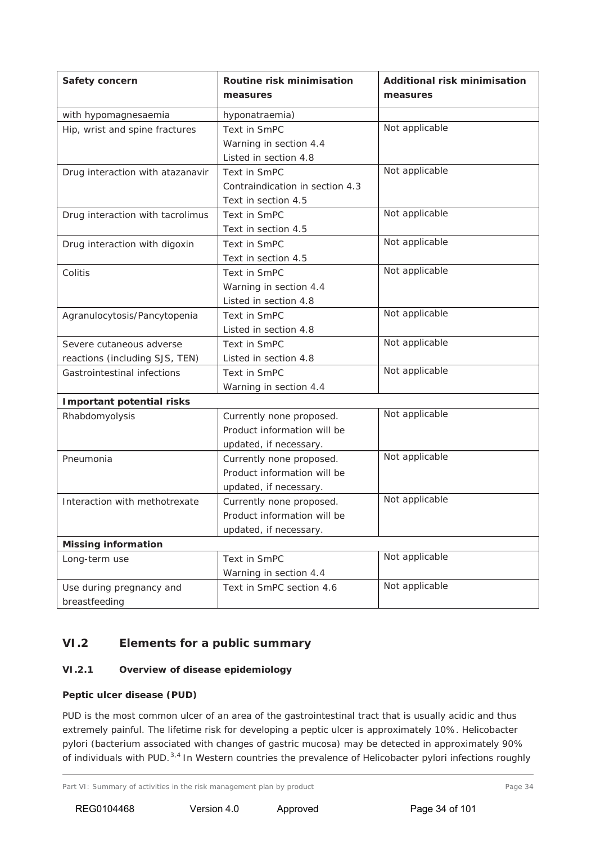## **VI.2 Elements for a public summary**

#### *VI.2.1 Overview of disease epidemiology*

#### **Peptic ulcer disease (PUD)**

PUD is the most common ulcer of an area of the gastrointestinal tract that is usually acidic and thus extremely painful. The lifetime risk for developing a peptic ulcer is approximately 10%. *Helicobacter pylori* (bacterium associated with changes of gastric mucosa) may be detected in approximately 90% of individuals with PUD.3,4 In Western countries the prevalence of *Helicobacter pylori* infections roughly

Part VI: Summary of activities in the risk management plan by product exactle and the page 34 Page 34

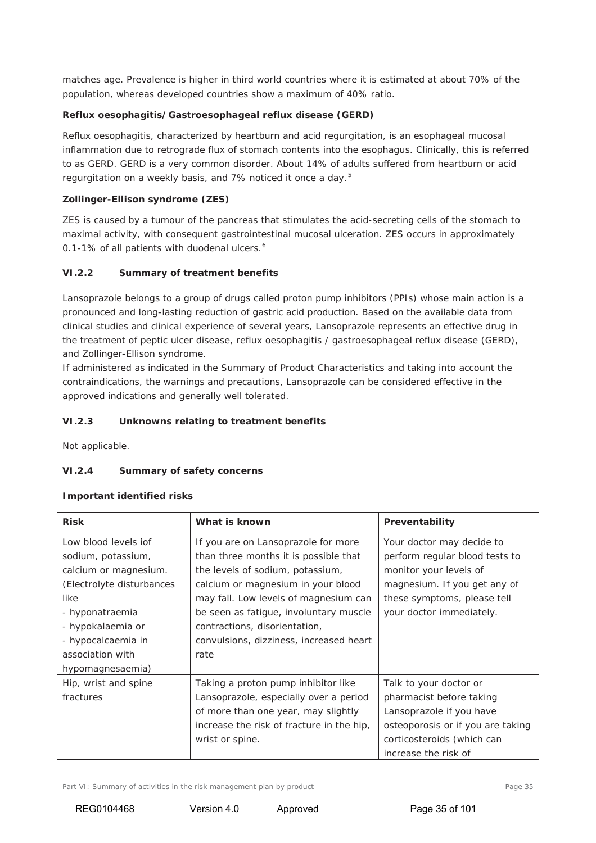matches age. Prevalence is higher in third world countries where it is estimated at about 70% of the population, whereas developed countries show a maximum of 40% ratio.

### **Reflux oesophagitis/Gastroesophageal reflux disease (GERD)**

Reflux oesophagitis, characterized by heartburn and acid regurgitation, is an esophageal mucosal inflammation due to retrograde flux of stomach contents into the esophagus. Clinically, this is referred to as GERD. GERD is a very common disorder. About 14% of adults suffered from heartburn or acid regurgitation on a weekly basis, and 7% noticed it once a day.<sup>5</sup>

#### **Zollinger-Ellison syndrome (ZES)**

ZES is caused by a tumour of the pancreas that stimulates the acid-secreting cells of the stomach to maximal activity, with consequent gastrointestinal mucosal ulceration. ZES occurs in approximately 0.1-1% of all patients with duodenal ulcers.<sup>6</sup>

#### *VI.2.2 Summary of treatment benefits*

Lansoprazole belongs to a group of drugs called proton pump inhibitors (PPIs) whose main action is a pronounced and long-lasting reduction of gastric acid production. Based on the available data from clinical studies and clinical experience of several years, Lansoprazole represents an effective drug in the treatment of peptic ulcer disease, reflux oesophagitis / gastroesophageal reflux disease (GERD), and Zollinger-Ellison syndrome.

If administered as indicated in the Summary of Product Characteristics and taking into account the contraindications, the warnings and precautions, Lansoprazole can be considered effective in the approved indications and generally well tolerated.

#### *VI.2.3 Unknowns relating to treatment benefits*

Not applicable.

### *VI.2.4 Summary of safety concerns*

#### **Important identified risks**

| <b>Risk</b>               | What is known                             | Preventability                    |
|---------------------------|-------------------------------------------|-----------------------------------|
| Low blood levels jof      | If you are on Lansoprazole for more       | Your doctor may decide to         |
| sodium, potassium,        | than three months it is possible that     | perform regular blood tests to    |
| calcium or magnesium.     | the levels of sodium, potassium,          | monitor your levels of            |
| (Electrolyte disturbances | calcium or magnesium in your blood        | magnesium. If you get any of      |
| like                      | may fall. Low levels of magnesium can     | these symptoms, please tell       |
| - hyponatraemia           | be seen as fatigue, involuntary muscle    | your doctor immediately.          |
| - hypokalaemia or         | contractions, disorientation,             |                                   |
| - hypocalcaemia in        | convulsions, dizziness, increased heart   |                                   |
| association with          | rate                                      |                                   |
| hypomagnesaemia)          |                                           |                                   |
| Hip, wrist and spine      | Taking a proton pump inhibitor like       | Talk to your doctor or            |
| fractures                 | Lansoprazole, especially over a period    | pharmacist before taking          |
|                           | of more than one year, may slightly       | Lansoprazole if you have          |
|                           | increase the risk of fracture in the hip, | osteoporosis or if you are taking |
|                           | wrist or spine.                           | corticosteroids (which can        |
|                           |                                           | increase the risk of              |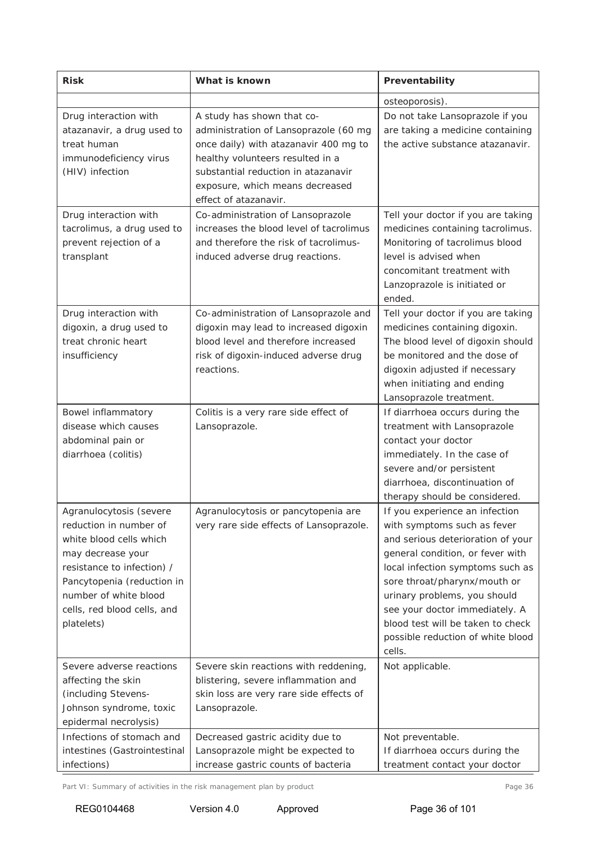| <b>Risk</b>                                                                                                                                                                                                                         | What is known                                                                                                                                                                                                                                       | Preventability                                                                                                                                                                                                                                                                                                                                                   |
|-------------------------------------------------------------------------------------------------------------------------------------------------------------------------------------------------------------------------------------|-----------------------------------------------------------------------------------------------------------------------------------------------------------------------------------------------------------------------------------------------------|------------------------------------------------------------------------------------------------------------------------------------------------------------------------------------------------------------------------------------------------------------------------------------------------------------------------------------------------------------------|
|                                                                                                                                                                                                                                     |                                                                                                                                                                                                                                                     | osteoporosis).                                                                                                                                                                                                                                                                                                                                                   |
| Drug interaction with<br>atazanavir, a drug used to<br>treat human<br>immunodeficiency virus<br>(HIV) infection                                                                                                                     | A study has shown that co-<br>administration of Lansoprazole (60 mg<br>once daily) with atazanavir 400 mg to<br>healthy volunteers resulted in a<br>substantial reduction in atazanavir<br>exposure, which means decreased<br>effect of atazanavir. | Do not take Lansoprazole if you<br>are taking a medicine containing<br>the active substance atazanavir.                                                                                                                                                                                                                                                          |
| Drug interaction with<br>tacrolimus, a drug used to<br>prevent rejection of a<br>transplant                                                                                                                                         | Co-administration of Lansoprazole<br>increases the blood level of tacrolimus<br>and therefore the risk of tacrolimus-<br>induced adverse drug reactions.                                                                                            | Tell your doctor if you are taking<br>medicines containing tacrolimus.<br>Monitoring of tacrolimus blood<br>level is advised when<br>concomitant treatment with<br>Lanzoprazole is initiated or<br>ended.                                                                                                                                                        |
| Drug interaction with<br>digoxin, a drug used to<br>treat chronic heart<br>insufficiency                                                                                                                                            | Co-administration of Lansoprazole and<br>digoxin may lead to increased digoxin<br>blood level and therefore increased<br>risk of digoxin-induced adverse drug<br>reactions.                                                                         | Tell your doctor if you are taking<br>medicines containing digoxin.<br>The blood level of digoxin should<br>be monitored and the dose of<br>digoxin adjusted if necessary<br>when initiating and ending<br>Lansoprazole treatment.                                                                                                                               |
| Bowel inflammatory<br>disease which causes<br>abdominal pain or<br>diarrhoea (colitis)                                                                                                                                              | Colitis is a very rare side effect of<br>Lansoprazole.                                                                                                                                                                                              | If diarrhoea occurs during the<br>treatment with Lansoprazole<br>contact your doctor<br>immediately. In the case of<br>severe and/or persistent<br>diarrhoea, discontinuation of<br>therapy should be considered.                                                                                                                                                |
| Agranulocytosis (severe<br>reduction in number of<br>white blood cells which<br>may decrease your<br>resistance to infection) /<br>Pancytopenia (reduction in<br>number of white blood<br>cells, red blood cells, and<br>platelets) | Agranulocytosis or pancytopenia are<br>very rare side effects of Lansoprazole.                                                                                                                                                                      | If you experience an infection<br>with symptoms such as fever<br>and serious deterioration of your<br>general condition, or fever with<br>local infection symptoms such as<br>sore throat/pharynx/mouth or<br>urinary problems, you should<br>see your doctor immediately. A<br>blood test will be taken to check<br>possible reduction of white blood<br>cells. |
| Severe adverse reactions<br>affecting the skin<br>(including Stevens-<br>Johnson syndrome, toxic<br>epidermal necrolysis)                                                                                                           | Severe skin reactions with reddening,<br>blistering, severe inflammation and<br>skin loss are very rare side effects of<br>Lansoprazole.                                                                                                            | Not applicable.                                                                                                                                                                                                                                                                                                                                                  |
| Infections of stomach and<br>intestines (Gastrointestinal<br>infections)                                                                                                                                                            | Decreased gastric acidity due to<br>Lansoprazole might be expected to<br>increase gastric counts of bacteria                                                                                                                                        | Not preventable.<br>If diarrhoea occurs during the<br>treatment contact your doctor                                                                                                                                                                                                                                                                              |

Part VI: Summary of activities in the risk management plan by product Page 36